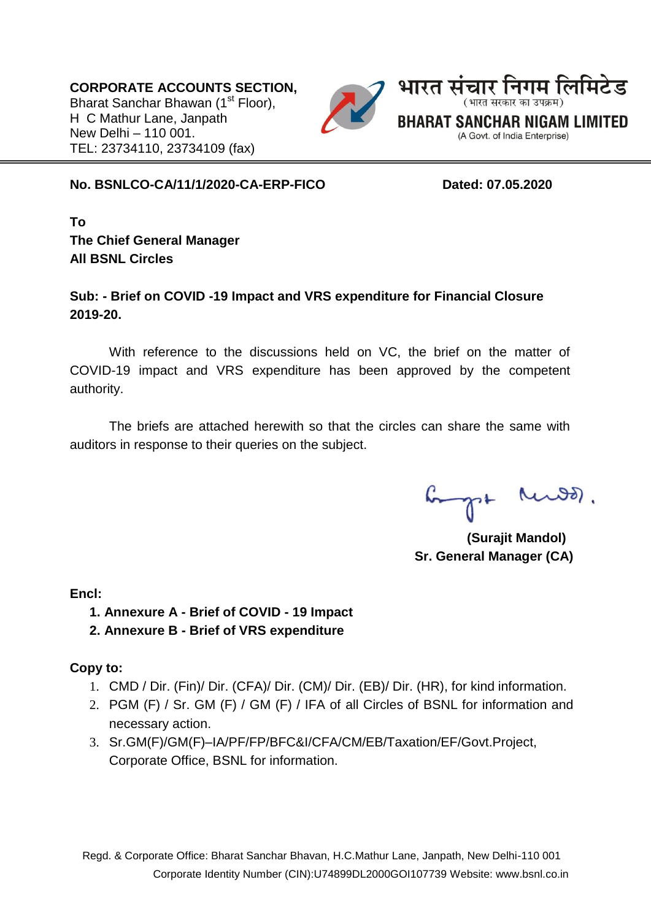**CORPORATE ACCOUNTS SECTION,** Bharat Sanchar Bhawan (1<sup>st</sup> Floor), H C Mathur Lane, Janpath New Delhi – 110 001. TEL: 23734110, 23734109 (fax)



#### **No. BSNLCO-CA/11/1/2020-CA-ERP-FICO Dated: 07.05.2020**

**To The Chief General Manager All BSNL Circles** 

## **Sub: - Brief on COVID -19 Impact and VRS expenditure for Financial Closure 2019-20.**

With reference to the discussions held on VC, the brief on the matter of COVID-19 impact and VRS expenditure has been approved by the competent authority.

The briefs are attached herewith so that the circles can share the same with auditors in response to their queries on the subject.

bought Rends.

**(Surajit Mandol) Sr. General Manager (CA)** 

**Encl:** 

## **1. Annexure A - Brief of COVID - 19 Impact**

## **2. Annexure B - Brief of VRS expenditure**

## **Copy to:**

- 1. CMD / Dir. (Fin)/ Dir. (CFA)/ Dir. (CM)/ Dir. (EB)/ Dir. (HR), for kind information.
- 2. PGM (F) / Sr. GM (F) / GM (F) / IFA of all Circles of BSNL for information and necessary action.
- 3. Sr.GM(F)/GM(F)–IA/PF/FP/BFC&I/CFA/CM/EB/Taxation/EF/Govt.Project, Corporate Office, BSNL for information.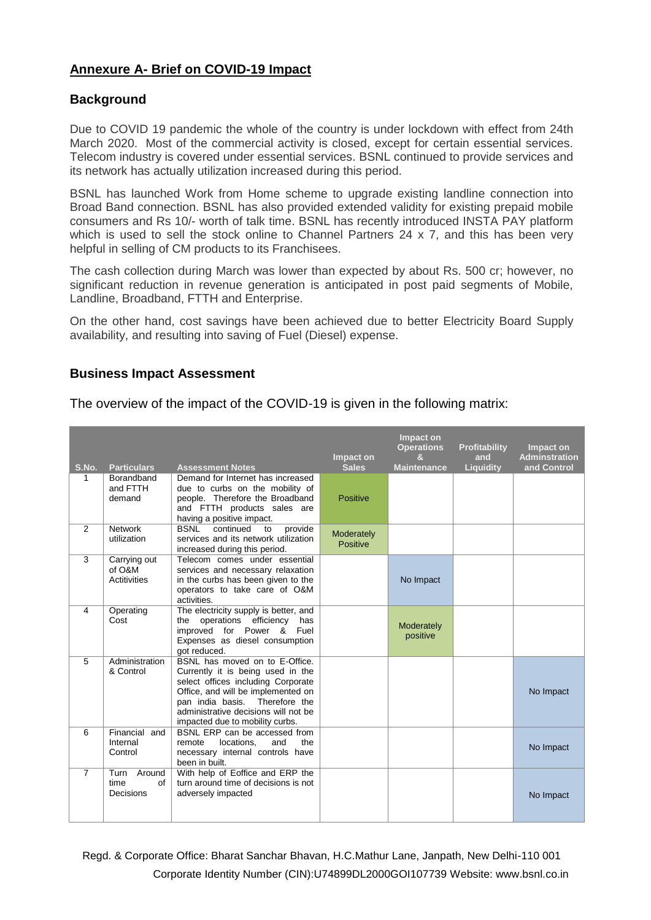#### **Annexure A- Brief on COVID-19 Impact**

#### **Background**

Due to COVID 19 pandemic the whole of the country is under lockdown with effect from 24th March 2020. Most of the commercial activity is closed, except for certain essential services. Telecom industry is covered under essential services. BSNL continued to provide services and its network has actually utilization increased during this period.

BSNL has launched Work from Home scheme to upgrade existing landline connection into Broad Band connection. BSNL has also provided extended validity for existing prepaid mobile consumers and Rs 10/- worth of talk time. BSNL has recently introduced INSTA PAY platform which is used to sell the stock online to Channel Partners 24 x 7, and this has been very helpful in selling of CM products to its Franchisees.

The cash collection during March was lower than expected by about Rs. 500 cr; however, no significant reduction in revenue generation is anticipated in post paid segments of Mobile, Landline, Broadband, FTTH and Enterprise.

On the other hand, cost savings have been achieved due to better Electricity Board Supply availability, and resulting into saving of Fuel (Diesel) expense.

#### **Business Impact Assessment**

The overview of the impact of the COVID-19 is given in the following matrix:

| S.No.          | <b>Particulars</b>                     | <b>Assessment Notes</b>                                                                                                                                                                                                                                         | Impact on<br><b>Sales</b>     | Impact on<br><b>Operations</b><br>&<br><b>Maintenance</b> | Profitability<br>and<br><b>Liquidity</b> | Impact on<br><b>Adminstration</b><br>and Control |
|----------------|----------------------------------------|-----------------------------------------------------------------------------------------------------------------------------------------------------------------------------------------------------------------------------------------------------------------|-------------------------------|-----------------------------------------------------------|------------------------------------------|--------------------------------------------------|
| 1              | Borandband<br>and FTTH<br>demand       | Demand for Internet has increased<br>due to curbs on the mobility of<br>people. Therefore the Broadband<br>and FTTH products sales are<br>having a positive impact.                                                                                             | Positive                      |                                                           |                                          |                                                  |
| 2              | <b>Network</b><br>utilization          | provide<br><b>BSNL</b><br>continued<br>to<br>services and its network utilization<br>increased during this period.                                                                                                                                              | Moderately<br><b>Positive</b> |                                                           |                                          |                                                  |
| 3              | Carrying out<br>of O&M<br>Actitivities | Telecom comes under essential<br>services and necessary relaxation<br>in the curbs has been given to the<br>operators to take care of O&M<br>activities.                                                                                                        |                               | No Impact                                                 |                                          |                                                  |
| $\overline{4}$ | Operating<br>Cost                      | The electricity supply is better, and<br>operations efficiency<br>has<br>the<br>improved for Power & Fuel<br>Expenses as diesel consumption<br>got reduced.                                                                                                     |                               | Moderately<br>positive                                    |                                          |                                                  |
| 5              | Administration<br>& Control            | BSNL has moved on to E-Office.<br>Currently it is being used in the<br>select offices including Corporate<br>Office, and will be implemented on<br>Therefore the<br>pan india basis.<br>administrative decisions will not be<br>impacted due to mobility curbs. |                               |                                                           |                                          | No Impact                                        |
| 6              | Financial and<br>Internal<br>Control   | BSNL ERP can be accessed from<br>locations.<br>and<br>the<br>remote<br>necessary internal controls have<br>been in built.                                                                                                                                       |                               |                                                           |                                          | No Impact                                        |
| $\overline{7}$ | Turn Around<br>time<br>of<br>Decisions | With help of Eoffice and ERP the<br>turn around time of decisions is not<br>adversely impacted                                                                                                                                                                  |                               |                                                           |                                          | No Impact                                        |

Regd. & Corporate Office: Bharat Sanchar Bhavan, H.C.Mathur Lane, Janpath, New Delhi-110 001 Corporate Identity Number (CIN):U74899DL2000GOI107739 Website: www.bsnl.co.in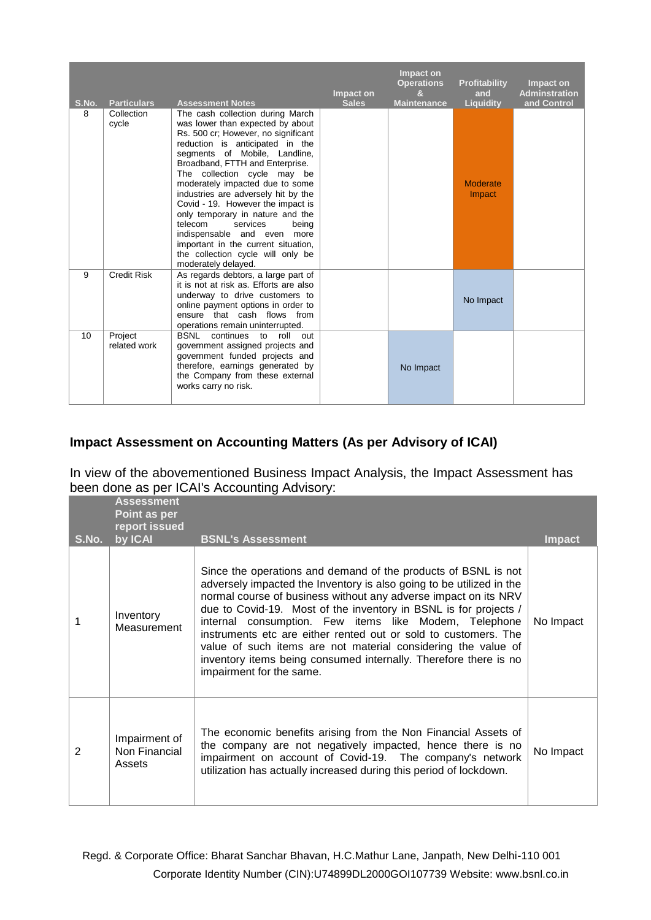| S.No. | <b>Particulars</b>      | <b>Assessment Notes</b>                                                                                                                                                                                                                                                                                                                                                                                                                                                                                                                                                | Impact on<br><b>Sales</b> | Impact on<br><b>Operations</b><br>$\mathbf{a}$<br><b>Maintenance</b> | Profitability<br>and<br>Liquidity | Impact on<br><b>Adminstration</b><br>and Control |
|-------|-------------------------|------------------------------------------------------------------------------------------------------------------------------------------------------------------------------------------------------------------------------------------------------------------------------------------------------------------------------------------------------------------------------------------------------------------------------------------------------------------------------------------------------------------------------------------------------------------------|---------------------------|----------------------------------------------------------------------|-----------------------------------|--------------------------------------------------|
| 8     | Collection<br>cycle     | The cash collection during March<br>was lower than expected by about<br>Rs. 500 cr; However, no significant<br>reduction is anticipated in the<br>segments of Mobile, Landline,<br>Broadband, FTTH and Enterprise.<br>The collection cycle may be<br>moderately impacted due to some<br>industries are adversely hit by the<br>Covid - 19. However the impact is<br>only temporary in nature and the<br>telecom<br>services<br>being<br>indispensable and even more<br>important in the current situation,<br>the collection cycle will only be<br>moderately delayed. |                           |                                                                      | <b>Moderate</b><br>Impact         |                                                  |
| 9     | <b>Credit Risk</b>      | As regards debtors, a large part of<br>it is not at risk as. Efforts are also<br>underway to drive customers to<br>online payment options in order to<br>ensure that cash flows from<br>operations remain uninterrupted.                                                                                                                                                                                                                                                                                                                                               |                           |                                                                      | No Impact                         |                                                  |
| 10    | Project<br>related work | <b>BSNL</b><br>continues to roll<br>out<br>government assigned projects and<br>government funded projects and<br>therefore, earnings generated by<br>the Company from these external<br>works carry no risk.                                                                                                                                                                                                                                                                                                                                                           |                           | No Impact                                                            |                                   |                                                  |

# **Impact Assessment on Accounting Matters (As per Advisory of ICAI)**

In view of the abovementioned Business Impact Analysis, the Impact Assessment has been done as per ICAI's Accounting Advisory:

|       | <b>Assessment</b><br>Point as per<br>report issued |                                                                                                                                                                                                                                                                                                                                                                                                                                                                                                                                                                            |               |
|-------|----------------------------------------------------|----------------------------------------------------------------------------------------------------------------------------------------------------------------------------------------------------------------------------------------------------------------------------------------------------------------------------------------------------------------------------------------------------------------------------------------------------------------------------------------------------------------------------------------------------------------------------|---------------|
| S.No. | by ICAI                                            | <b>BSNL's Assessment</b>                                                                                                                                                                                                                                                                                                                                                                                                                                                                                                                                                   | <b>Impact</b> |
|       | Inventory<br>Measurement                           | Since the operations and demand of the products of BSNL is not<br>adversely impacted the Inventory is also going to be utilized in the<br>normal course of business without any adverse impact on its NRV<br>due to Covid-19. Most of the inventory in BSNL is for projects /<br>internal consumption. Few items like Modem, Telephone<br>instruments etc are either rented out or sold to customers. The<br>value of such items are not material considering the value of<br>inventory items being consumed internally. Therefore there is no<br>impairment for the same. | No Impact     |
| 2     | Impairment of<br>Non Financial<br>Assets           | The economic benefits arising from the Non Financial Assets of<br>the company are not negatively impacted, hence there is no<br>impairment on account of Covid-19. The company's network<br>utilization has actually increased during this period of lockdown.                                                                                                                                                                                                                                                                                                             | No Impact     |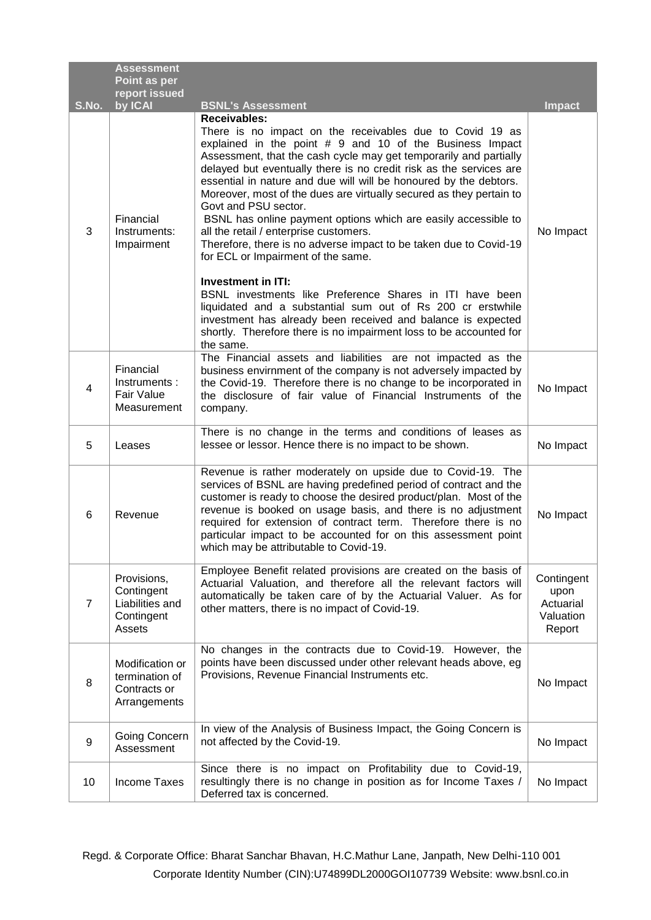|                | <b>Assessment</b><br>Point as per                                    |                                                                                                                                                                                                                                                                                                                                                                                                                                                                                                                                                                                                                                                              |                                                        |
|----------------|----------------------------------------------------------------------|--------------------------------------------------------------------------------------------------------------------------------------------------------------------------------------------------------------------------------------------------------------------------------------------------------------------------------------------------------------------------------------------------------------------------------------------------------------------------------------------------------------------------------------------------------------------------------------------------------------------------------------------------------------|--------------------------------------------------------|
|                | report issued                                                        |                                                                                                                                                                                                                                                                                                                                                                                                                                                                                                                                                                                                                                                              |                                                        |
| S.No.          | by ICAI                                                              | <b>BSNL's Assessment</b><br><b>Receivables:</b>                                                                                                                                                                                                                                                                                                                                                                                                                                                                                                                                                                                                              | <b>Impact</b>                                          |
| 3              | Financial<br>Instruments:<br>Impairment                              | There is no impact on the receivables due to Covid 19 as<br>explained in the point $# 9$ and 10 of the Business Impact<br>Assessment, that the cash cycle may get temporarily and partially<br>delayed but eventually there is no credit risk as the services are<br>essential in nature and due will will be honoured by the debtors.<br>Moreover, most of the dues are virtually secured as they pertain to<br>Govt and PSU sector.<br>BSNL has online payment options which are easily accessible to<br>all the retail / enterprise customers.<br>Therefore, there is no adverse impact to be taken due to Covid-19<br>for ECL or Impairment of the same. | No Impact                                              |
|                |                                                                      | <b>Investment in ITI:</b><br>BSNL investments like Preference Shares in ITI have been<br>liquidated and a substantial sum out of Rs 200 cr erstwhile<br>investment has already been received and balance is expected<br>shortly. Therefore there is no impairment loss to be accounted for<br>the same.                                                                                                                                                                                                                                                                                                                                                      |                                                        |
| 4              | Financial<br>Instruments:<br><b>Fair Value</b><br>Measurement        | The Financial assets and liabilities are not impacted as the<br>business envirnment of the company is not adversely impacted by<br>the Covid-19. Therefore there is no change to be incorporated in<br>the disclosure of fair value of Financial Instruments of the<br>company.                                                                                                                                                                                                                                                                                                                                                                              | No Impact                                              |
| 5              | Leases                                                               | There is no change in the terms and conditions of leases as<br>lessee or lessor. Hence there is no impact to be shown.                                                                                                                                                                                                                                                                                                                                                                                                                                                                                                                                       | No Impact                                              |
| 6              | Revenue                                                              | Revenue is rather moderately on upside due to Covid-19. The<br>services of BSNL are having predefined period of contract and the<br>customer is ready to choose the desired product/plan. Most of the<br>revenue is booked on usage basis, and there is no adjustment<br>required for extension of contract term. Therefore there is no<br>particular impact to be accounted for on this assessment point<br>which may be attributable to Covid-19.                                                                                                                                                                                                          | No Impact                                              |
| $\overline{7}$ | Provisions,<br>Contingent<br>Liabilities and<br>Contingent<br>Assets | Employee Benefit related provisions are created on the basis of<br>Actuarial Valuation, and therefore all the relevant factors will<br>automatically be taken care of by the Actuarial Valuer. As for<br>other matters, there is no impact of Covid-19.                                                                                                                                                                                                                                                                                                                                                                                                      | Contingent<br>upon<br>Actuarial<br>Valuation<br>Report |
| 8              | Modification or<br>termination of<br>Contracts or<br>Arrangements    | No changes in the contracts due to Covid-19. However, the<br>points have been discussed under other relevant heads above, eg<br>Provisions, Revenue Financial Instruments etc.                                                                                                                                                                                                                                                                                                                                                                                                                                                                               | No Impact                                              |
| 9              | Going Concern<br>Assessment                                          | In view of the Analysis of Business Impact, the Going Concern is<br>not affected by the Covid-19.                                                                                                                                                                                                                                                                                                                                                                                                                                                                                                                                                            | No Impact                                              |
| 10             | <b>Income Taxes</b>                                                  | Since there is no impact on Profitability due to Covid-19,<br>resultingly there is no change in position as for Income Taxes /<br>Deferred tax is concerned.                                                                                                                                                                                                                                                                                                                                                                                                                                                                                                 | No Impact                                              |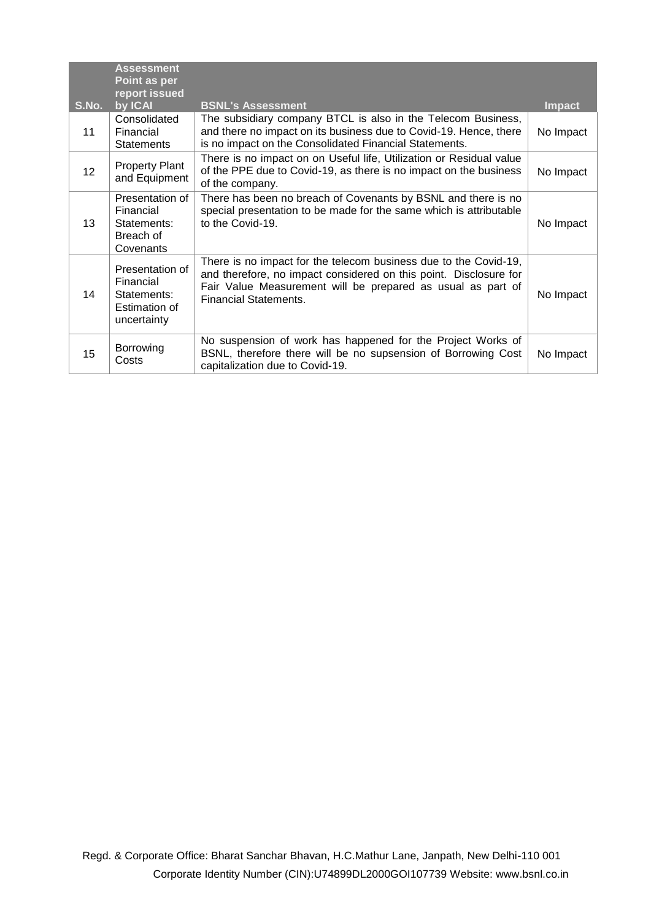|       | <b>Assessment</b><br>Point as per<br>report issued                          |                                                                                                                                                                                                                                      |               |
|-------|-----------------------------------------------------------------------------|--------------------------------------------------------------------------------------------------------------------------------------------------------------------------------------------------------------------------------------|---------------|
| S.No. | by ICAI                                                                     | <b>BSNL's Assessment</b>                                                                                                                                                                                                             | <b>Impact</b> |
| 11    | Consolidated<br>Financial<br><b>Statements</b>                              | The subsidiary company BTCL is also in the Telecom Business,<br>and there no impact on its business due to Covid-19. Hence, there<br>is no impact on the Consolidated Financial Statements.                                          | No Impact     |
| 12    | <b>Property Plant</b><br>and Equipment                                      | There is no impact on on Useful life, Utilization or Residual value<br>of the PPE due to Covid-19, as there is no impact on the business<br>of the company.                                                                          | No Impact     |
| 13    | Presentation of<br>Financial<br>Statements:<br>Breach of<br>Covenants       | There has been no breach of Covenants by BSNL and there is no<br>special presentation to be made for the same which is attributable<br>to the Covid-19.                                                                              | No Impact     |
| 14    | Presentation of<br>Financial<br>Statements:<br>Estimation of<br>uncertainty | There is no impact for the telecom business due to the Covid-19,<br>and therefore, no impact considered on this point. Disclosure for<br>Fair Value Measurement will be prepared as usual as part of<br><b>Financial Statements.</b> | No Impact     |
| 15    | Borrowing<br>Costs                                                          | No suspension of work has happened for the Project Works of<br>BSNL, therefore there will be no supsension of Borrowing Cost<br>capitalization due to Covid-19.                                                                      | No Impact     |